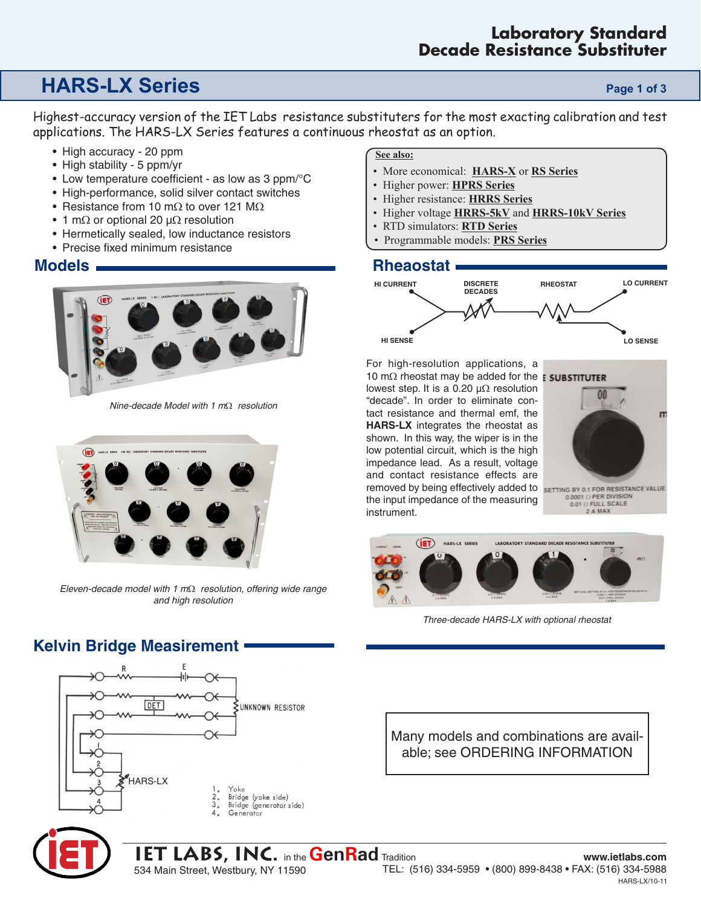# **HARS-LX Series** *Page 1 of 3*

Highest-accuracy version of the IET Labs resistance substituters for the most exacting calibration and test applications. The HARS-LX Series features a continuous rheostat as an option.

- High accuracy 20 ppm
- High stability 5 ppm/yr
- Low temperature coefficient as low as 3 ppm/°C
- High-performance, solid silver contact switches
- Resistance from 10 mΩ to over 121 MΩ
- 1 m $\Omega$  or optional 20 µ $\Omega$  resolution
- Hermetically sealed, low inductance resistors
- Precise fixed minimum resistance

### **Models**



*Nine-decade Model with 1 m*Ω *resolution*



*Eleven-decade model with 1 m*Ω *resolution, offering wide range and high resolution*

## **Kelvin Bridge Measirement**



534 Main Street, Westbury, NY 11590

### **See also:**

- More economical: **HARS-X** or **RS Series**
- Higher power: **HPRS Series**
- Higher resistance: **HRRS Series**
- Higher voltage **HRRS-5kV** and **HRRS-10kV Series**
- RTD simulators: **RTD Series**
- Programmable models: **PRS Series**

### **Rheaostat**



For high-resolution applications, a 10 mΩ rheostat may be added for the **E SUBSTITUTER** lowest step. It is a 0.20 µΩ resolution "decade". In order to eliminate contact resistance and thermal emf, the **HARS-LX** integrates the rheostat as shown. In this way, the wiper is in the low potential circuit, which is the high impedance lead. As a result, voltage and contact resistance effects are removed by being effectively added to SETTING BY 0.1 FOR RESISTANCE VALUE the input impedance of the measuring instrument.



 $0.0001$   $\Omega$  PER DIVISION  $0.01 \Omega$  FULL SCALE<br>2 A MAX



*Three-decade HARS-LX with optional rheostat*

Many models and combinations are available; see ORDERING INFORMATION

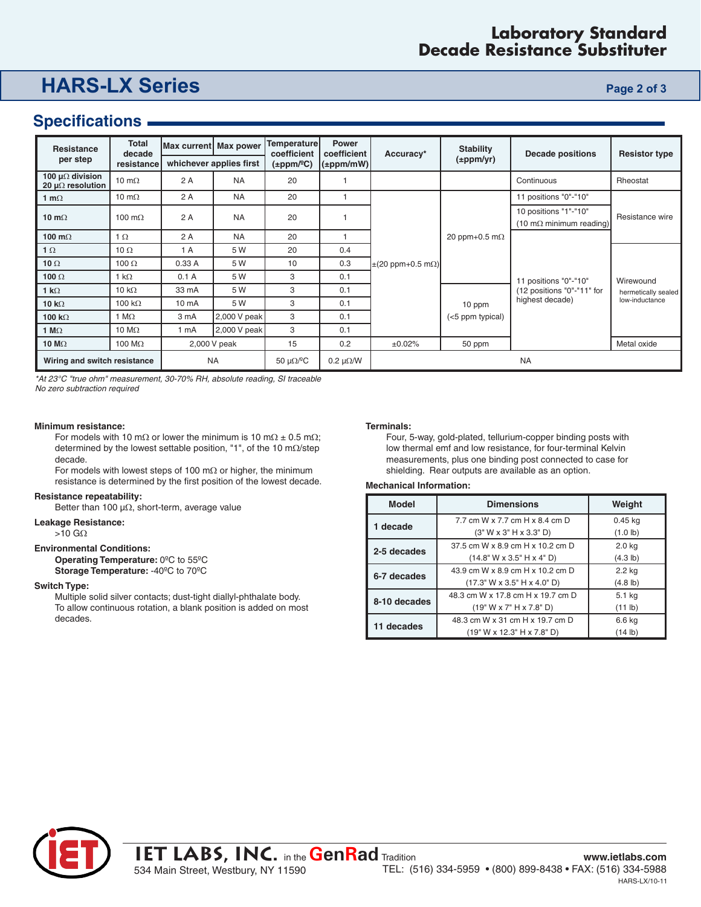### **Laboratory Standard Decade Resistance Substituter**

# **HARS-LX Series** *Page 2 of 3*

## **Specifications**

| <b>Resistance</b><br>per step                        | <b>Total</b><br>decade<br>resistance | Max current Max power   |              | Temperature<br>coefficient | <b>Power</b><br>coefficient | Accuracy*                      | <b>Stability</b>                                    | <b>Decade positions</b>                                                 | <b>Resistor type</b>                               |
|------------------------------------------------------|--------------------------------------|-------------------------|--------------|----------------------------|-----------------------------|--------------------------------|-----------------------------------------------------|-------------------------------------------------------------------------|----------------------------------------------------|
|                                                      |                                      | whichever applies first |              | $(\pm$ ppm/ $^{\circ}$ C)  | $(\pm$ ppm/mW)              |                                | $(\pm$ ppm/yr)                                      |                                                                         |                                                    |
| 100 $\mu\Omega$ division<br>20 µ $\Omega$ resolution | 10 m $\Omega$                        | 2A                      | <b>NA</b>    | 20                         |                             |                                |                                                     | Continuous                                                              | Rheostat                                           |
| 1 m $\Omega$                                         | 10 m $\Omega$                        | 2A                      | <b>NA</b>    | 20                         |                             |                                |                                                     | 11 positions "0"-"10"                                                   | Resistance wire                                    |
| 10 m $\Omega$                                        | 100 m $\Omega$                       | 2A                      | <b>NA</b>    | 20                         |                             |                                |                                                     | 10 positions "1"-"10"<br>$(10 \text{ m}\Omega \text{ minimum reading})$ |                                                    |
| 100 m $\Omega$                                       | 1 $\Omega$                           | 2A                      | <b>NA</b>    | 20                         |                             |                                | 20 ppm+0.5 m $\Omega$<br>10 ppm<br>(<5 ppm typical) | 11 positions "0"-"10"<br>(12 positions "0"-"11" for<br>highest decade)  |                                                    |
| 1 $\Omega$                                           | 10 $\Omega$                          | 1A                      | 5 W          | 20                         | 0.4                         |                                |                                                     |                                                                         | Wirewound<br>hermetically sealed<br>low-inductance |
| 10 $\Omega$                                          | 100 $\Omega$                         | 0.33A                   | 5 W          | 10                         | 0.3                         | $\pm$ (20 ppm+0.5 m $\Omega$ ) |                                                     |                                                                         |                                                    |
| 100 $\Omega$                                         | 1 k $\Omega$                         | 0.1A                    | 5 W          | 3                          | 0.1                         |                                |                                                     |                                                                         |                                                    |
| 1 k $\Omega$                                         | 10 k $\Omega$                        | 33 mA                   | 5 W          | 3                          | 0.1                         |                                |                                                     |                                                                         |                                                    |
| 10 $k\Omega$                                         | 100 $k\Omega$                        | $10 \text{ mA}$         | 5 W          | 3                          | 0.1                         |                                |                                                     |                                                                         |                                                    |
| 100 k $\Omega$                                       | 1 M $\Omega$                         | 3 mA                    | 2,000 V peak | 3                          | 0.1                         |                                |                                                     |                                                                         |                                                    |
| 1 $M\Omega$                                          | 10 $M\Omega$                         | 1 mA                    | 2,000 V peak | 3                          | 0.1                         |                                |                                                     |                                                                         |                                                    |
| 10 M $\Omega$                                        | 100 $M\Omega$                        |                         | 2,000 V peak | 15                         | 0.2                         | ±0.02%                         | 50 ppm                                              |                                                                         | Metal oxide                                        |
| Wiring and switch resistance                         |                                      | <b>NA</b>               |              | 50 $\mu\Omega$ /°C         | $0.2 \mu\Omega/W$           | <b>NA</b>                      |                                                     |                                                                         |                                                    |

*\*At 23°C "true ohm" measurement, 30-70% RH, absolute reading, SI traceable No zero subtraction required*

#### **Minimum resistance:**

For models with 10 mΩ or lower the minimum is 10 mΩ  $\pm$  0.5 mΩ; determined by the lowest settable position, "1", of the 10 mΩ/step decade.

For models with lowest steps of 100 m $\Omega$  or higher, the minimum resistance is determined by the first position of the lowest decade.

#### **Resistance repeatability:**

Better than 100  $\mu\Omega$ , short-term, average value

### **Leakage Resistance:**

>10 GΩ

#### **Environmental Conditions:**

**Operating Temperature:** 0ºC to 55ºC **Storage Temperature:** -40ºC to 70ºC

#### **Switch Type:**

Multiple solid silver contacts; dust-tight diallyl-phthalate body. To allow continuous rotation, a blank position is added on most decades.

534 Main Street, Westbury, NY 11590

#### **Terminals:**

Four, 5-way, gold-plated, tellurium-copper binding posts with low thermal emf and low resistance, for four-terminal Kelvin measurements, plus one binding post connected to case for shielding. Rear outputs are available as an option.

#### **Mechanical Information:**

| <b>Model</b> | <b>Dimensions</b>                 | Weight             |  |
|--------------|-----------------------------------|--------------------|--|
| 1 decade     | 7.7 cm W x 7.7 cm H x 8.4 cm D    | $0.45$ kg          |  |
|              | (3" W x 3" H x 3.3" D)            | $(1.0 \, lb)$      |  |
| 2-5 decades  | 37.5 cm W x 8.9 cm H x 10.2 cm D  | 2.0 <sub>kq</sub>  |  |
|              | (14.8" W x 3.5" H x 4" D)         | (4.3 lb)           |  |
| 6-7 decades  | 43.9 cm W x 8.9 cm H x 10.2 cm D  | 2.2 kg             |  |
|              | (17.3" W x 3.5" H x 4.0" D)       | $(4.8 \text{ lb})$ |  |
| 8-10 decades | 48.3 cm W x 17.8 cm H x 19.7 cm D | 5.1 kg             |  |
|              | (19" W x 7" H x 7.8" D)           | (11 lb)            |  |
|              | 48.3 cm W x 31 cm H x 19.7 cm D   | 6.6 kg             |  |
| 11 decades   | (19" W x 12.3" H x 7.8" D)        | (14 lb)            |  |